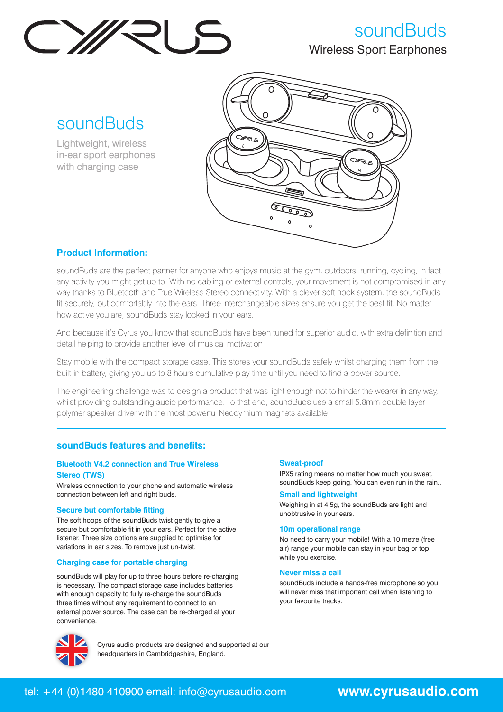

# soundBuds Wireless Sport Earphones

soundBuds

Lightweight, wireless in-ear sport earphones with charging case



## **Product Information:**

soundBuds are the perfect partner for anyone who enjoys music at the gym, outdoors, running, cycling, in fact any activity you might get up to. With no cabling or external controls, your movement is not compromised in any way thanks to Bluetooth and True Wireless Stereo connectivity. With a clever soft hook system, the soundBuds fit securely, but comfortably into the ears. Three interchangeable sizes ensure you get the best fit. No matter how active you are, soundBuds stay locked in your ears.

And because it's Cyrus you know that soundBuds have been tuned for superior audio, with extra definition and detail helping to provide another level of musical motivation.

Stay mobile with the compact storage case. This stores your soundBuds safely whilst charging them from the built-in battery, giving you up to 8 hours cumulative play time until you need to find a power source.

The engineering challenge was to design a product that was light enough not to hinder the wearer in any way, whilst providing outstanding audio performance. To that end, soundBuds use a small 5.8mm double layer polymer speaker driver with the most powerful Neodymium magnets available.

## **soundBuds features and benefits:**

### **Bluetooth V4.2 connection and True Wireless Stereo (TWS)**

Wireless connection to your phone and automatic wireless connection between left and right buds.

#### **Secure but comfortable fitting**

The soft hoops of the soundBuds twist gently to give a secure but comfortable fit in your ears. Perfect for the active listener. Three size options are supplied to optimise for variations in ear sizes. To remove just un-twist.

### **Charging case for portable charging**

soundBuds will play for up to three hours before re-charging is necessary. The compact storage case includes batteries with enough capacity to fully re-charge the soundBuds three times without any requirement to connect to an external power source. The case can be re-charged at your convenience.

#### **Sweat-proof**

IPX5 rating means no matter how much you sweat, soundBuds keep going. You can even run in the rain..

#### **Small and lightweight**

Weighing in at 4.5g, the soundBuds are light and unobtrusive in your ears.

#### **10m operational range**

No need to carry your mobile! With a 10 metre (free air) range your mobile can stay in your bag or top while you exercise.

#### **Never miss a call**

soundBuds include a hands-free microphone so you will never miss that important call when listening to your favourite tracks.



Cyrus audio products are designed and supported at our headquarters in Cambridgeshire, England.